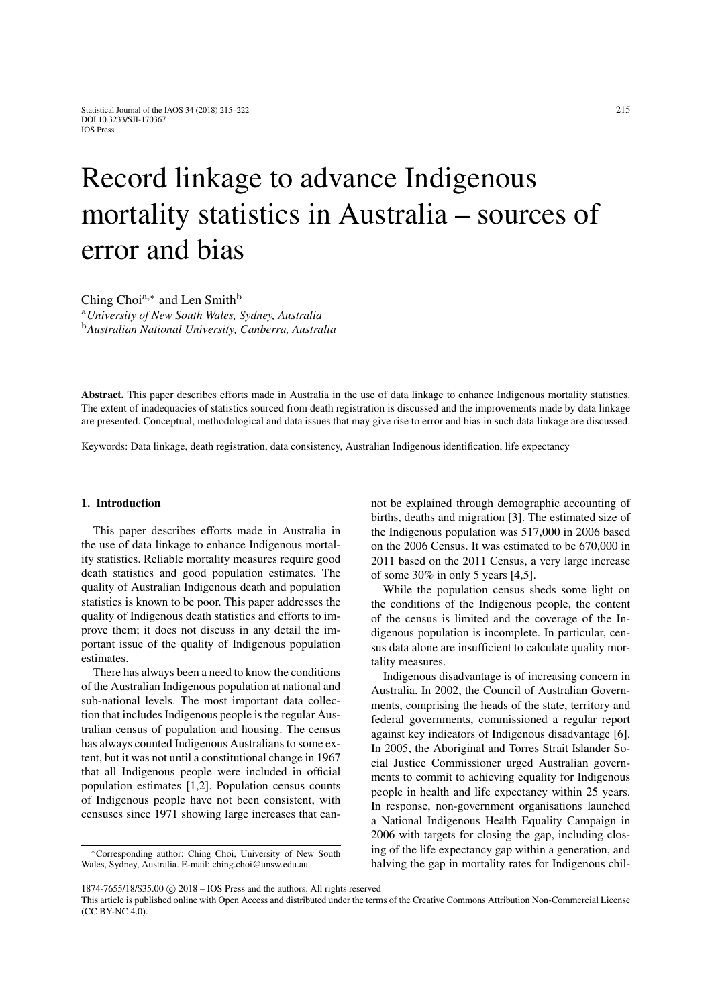# Record linkage to advance Indigenous mortality statistics in Australia – sources of error and bias

Ching Choi<sup>a,∗</sup> and Len Smith<sup>b</sup>

<sup>a</sup>*University of New South Wales, Sydney, Australia* <sup>b</sup>*Australian National University, Canberra, Australia*

Abstract. This paper describes efforts made in Australia in the use of data linkage to enhance Indigenous mortality statistics. The extent of inadequacies of statistics sourced from death registration is discussed and the improvements made by data linkage are presented. Conceptual, methodological and data issues that may give rise to error and bias in such data linkage are discussed.

Keywords: Data linkage, death registration, data consistency, Australian Indigenous identification, life expectancy

## 1. Introduction

This paper describes efforts made in Australia in the use of data linkage to enhance Indigenous mortality statistics. Reliable mortality measures require good death statistics and good population estimates. The quality of Australian Indigenous death and population statistics is known to be poor. This paper addresses the quality of Indigenous death statistics and efforts to improve them; it does not discuss in any detail the important issue of the quality of Indigenous population estimates.

There has always been a need to know the conditions of the Australian Indigenous population at national and sub-national levels. The most important data collection that includes Indigenous people is the regular Australian census of population and housing. The census has always counted Indigenous Australians to some extent, but it was not until a constitutional change in 1967 that all Indigenous people were included in official population estimates [\[1](#page-7-0)[,2\]](#page-7-1). Population census counts of Indigenous people have not been consistent, with censuses since 1971 showing large increases that cannot be explained through demographic accounting of births, deaths and migration [\[3\]](#page-7-2). The estimated size of the Indigenous population was 517,000 in 2006 based on the 2006 Census. It was estimated to be 670,000 in 2011 based on the 2011 Census, a very large increase of some 30% in only 5 years [\[4,](#page-7-3)[5\]](#page-7-4).

While the population census sheds some light on the conditions of the Indigenous people, the content of the census is limited and the coverage of the Indigenous population is incomplete. In particular, census data alone are insufficient to calculate quality mortality measures.

Indigenous disadvantage is of increasing concern in Australia. In 2002, the Council of Australian Governments, comprising the heads of the state, territory and federal governments, commissioned a regular report against key indicators of Indigenous disadvantage [\[6\]](#page-7-5). In 2005, the Aboriginal and Torres Strait Islander Social Justice Commissioner urged Australian governments to commit to achieving equality for Indigenous people in health and life expectancy within 25 years. In response, non-government organisations launched a National Indigenous Health Equality Campaign in 2006 with targets for closing the gap, including closing of the life expectancy gap within a generation, and halving the gap in mortality rates for Indigenous chil-

<sup>∗</sup>Corresponding author: Ching Choi, University of New South Wales, Sydney, Australia. E-mail: ching.choi@unsw.edu.au.

<sup>1874-7655/18/\$35.00 © 2018 -</sup> IOS Press and the authors. All rights reserved

This article is published online with Open Access and distributed under the terms of the Creative Commons Attribution Non-Commercial License (CC BY-NC 4.0).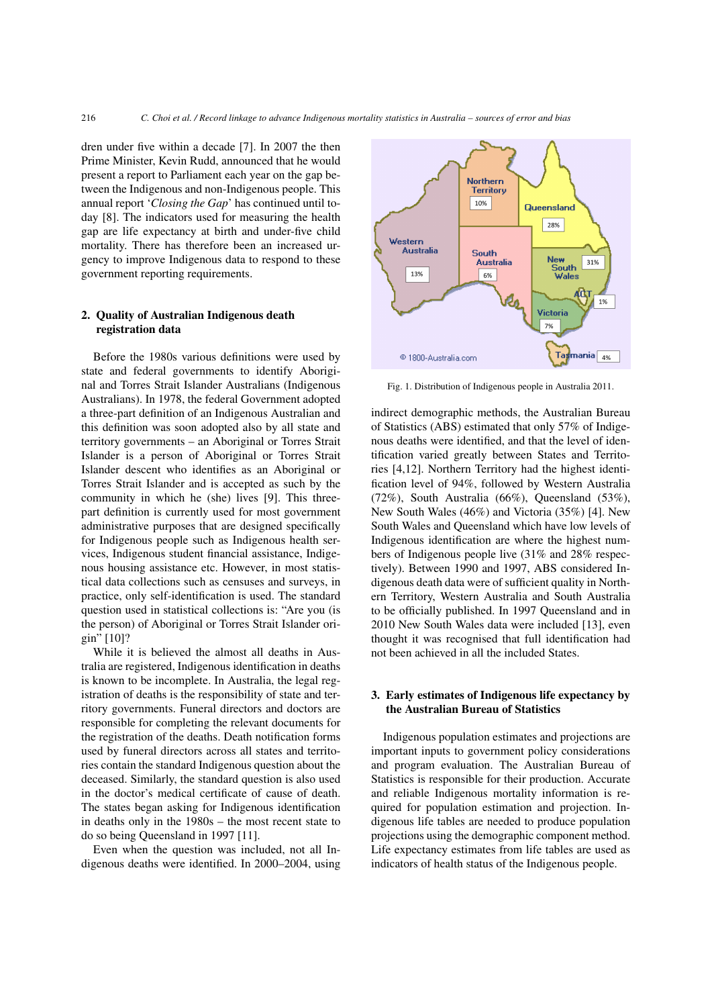dren under five within a decade [\[7\]](#page-7-6). In 2007 the then Prime Minister, Kevin Rudd, announced that he would present a report to Parliament each year on the gap between the Indigenous and non-Indigenous people. This annual report '*Closing the Gap*' has continued until today [\[8\]](#page-7-7). The indicators used for measuring the health gap are life expectancy at birth and under-five child mortality. There has therefore been an increased urgency to improve Indigenous data to respond to these government reporting requirements.

## 2. Quality of Australian Indigenous death registration data

Before the 1980s various definitions were used by state and federal governments to identify Aboriginal and Torres Strait Islander Australians (Indigenous Australians). In 1978, the federal Government adopted a three-part definition of an Indigenous Australian and this definition was soon adopted also by all state and territory governments – an Aboriginal or Torres Strait Islander is a person of Aboriginal or Torres Strait Islander descent who identifies as an Aboriginal or Torres Strait Islander and is accepted as such by the community in which he (she) lives [\[9\]](#page-7-8). This threepart definition is currently used for most government administrative purposes that are designed specifically for Indigenous people such as Indigenous health services, Indigenous student financial assistance, Indigenous housing assistance etc. However, in most statistical data collections such as censuses and surveys, in practice, only self-identification is used. The standard question used in statistical collections is: "Are you (is the person) of Aboriginal or Torres Strait Islander origin" [\[10\]](#page-7-9)?

While it is believed the almost all deaths in Australia are registered, Indigenous identification in deaths is known to be incomplete. In Australia, the legal registration of deaths is the responsibility of state and territory governments. Funeral directors and doctors are responsible for completing the relevant documents for the registration of the deaths. Death notification forms used by funeral directors across all states and territories contain the standard Indigenous question about the deceased. Similarly, the standard question is also used in the doctor's medical certificate of cause of death. The states began asking for Indigenous identification in deaths only in the 1980s – the most recent state to do so being Queensland in 1997 [\[11\]](#page-7-10).

Even when the question was included, not all Indigenous deaths were identified. In 2000–2004, using



Fig. 1. Distribution of Indigenous people in Australia 2011.

indirect demographic methods, the Australian Bureau of Statistics (ABS) estimated that only 57% of Indigenous deaths were identified, and that the level of identification varied greatly between States and Territories [\[4](#page-7-3)[,12\]](#page-7-11). Northern Territory had the highest identification level of 94%, followed by Western Australia (72%), South Australia (66%), Queensland (53%), New South Wales (46%) and Victoria (35%) [\[4\]](#page-7-3). New South Wales and Queensland which have low levels of Indigenous identification are where the highest numbers of Indigenous people live (31% and 28% respectively). Between 1990 and 1997, ABS considered Indigenous death data were of sufficient quality in Northern Territory, Western Australia and South Australia to be officially published. In 1997 Queensland and in 2010 New South Wales data were included [\[13\]](#page-7-12), even thought it was recognised that full identification had not been achieved in all the included States.

### 3. Early estimates of Indigenous life expectancy by the Australian Bureau of Statistics

Indigenous population estimates and projections are important inputs to government policy considerations and program evaluation. The Australian Bureau of Statistics is responsible for their production. Accurate and reliable Indigenous mortality information is required for population estimation and projection. Indigenous life tables are needed to produce population projections using the demographic component method. Life expectancy estimates from life tables are used as indicators of health status of the Indigenous people.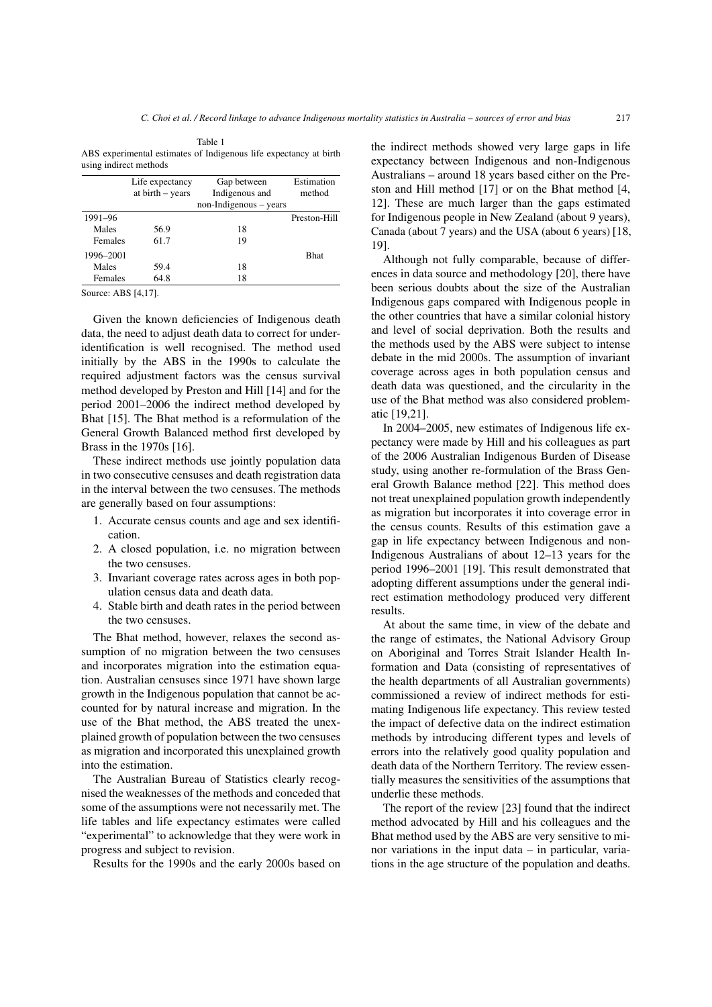Table 1 ABS experimental estimates of Indigenous life expectancy at birth using indirect methods

|           | Life expectancy    | Gap between            | Estimation   |
|-----------|--------------------|------------------------|--------------|
|           | at $birth - years$ | Indigenous and         | method       |
|           |                    | non-Indigenous – years |              |
| 1991-96   |                    |                        | Preston-Hill |
| Males     | 56.9               | 18                     |              |
| Females   | 61.7               | 19                     |              |
| 1996-2001 |                    |                        | <b>Bhat</b>  |
| Males     | 59.4               | 18                     |              |
| Females   | 64.8               | 18                     |              |

Source: ABS [\[4,](#page-7-3)[17\]](#page-7-13).

Given the known deficiencies of Indigenous death data, the need to adjust death data to correct for underidentification is well recognised. The method used initially by the ABS in the 1990s to calculate the required adjustment factors was the census survival method developed by Preston and Hill [\[14\]](#page-7-14) and for the period 2001–2006 the indirect method developed by Bhat [\[15\]](#page-7-15). The Bhat method is a reformulation of the General Growth Balanced method first developed by Brass in the 1970s [\[16\]](#page-7-16).

These indirect methods use jointly population data in two consecutive censuses and death registration data in the interval between the two censuses. The methods are generally based on four assumptions:

- 1. Accurate census counts and age and sex identification.
- 2. A closed population, i.e. no migration between the two censuses.
- 3. Invariant coverage rates across ages in both population census data and death data.
- 4. Stable birth and death rates in the period between the two censuses.

The Bhat method, however, relaxes the second assumption of no migration between the two censuses and incorporates migration into the estimation equation. Australian censuses since 1971 have shown large growth in the Indigenous population that cannot be accounted for by natural increase and migration. In the use of the Bhat method, the ABS treated the unexplained growth of population between the two censuses as migration and incorporated this unexplained growth into the estimation.

The Australian Bureau of Statistics clearly recognised the weaknesses of the methods and conceded that some of the assumptions were not necessarily met. The life tables and life expectancy estimates were called "experimental" to acknowledge that they were work in progress and subject to revision.

Results for the 1990s and the early 2000s based on

the indirect methods showed very large gaps in life expectancy between Indigenous and non-Indigenous Australians – around 18 years based either on the Preston and Hill method [\[17\]](#page-7-13) or on the Bhat method [\[4,](#page-7-3) [12\]](#page-7-11). These are much larger than the gaps estimated for Indigenous people in New Zealand (about 9 years), Canada (about 7 years) and the USA (about 6 years) [\[18,](#page-7-17) [19\]](#page-7-18).

Although not fully comparable, because of differences in data source and methodology [\[20\]](#page-7-19), there have been serious doubts about the size of the Australian Indigenous gaps compared with Indigenous people in the other countries that have a similar colonial history and level of social deprivation. Both the results and the methods used by the ABS were subject to intense debate in the mid 2000s. The assumption of invariant coverage across ages in both population census and death data was questioned, and the circularity in the use of the Bhat method was also considered problematic [\[19,](#page-7-18)[21\]](#page-7-20).

In 2004–2005, new estimates of Indigenous life expectancy were made by Hill and his colleagues as part of the 2006 Australian Indigenous Burden of Disease study, using another re-formulation of the Brass General Growth Balance method [\[22\]](#page-7-21). This method does not treat unexplained population growth independently as migration but incorporates it into coverage error in the census counts. Results of this estimation gave a gap in life expectancy between Indigenous and non-Indigenous Australians of about 12–13 years for the period 1996–2001 [\[19\]](#page-7-18). This result demonstrated that adopting different assumptions under the general indirect estimation methodology produced very different results.

At about the same time, in view of the debate and the range of estimates, the National Advisory Group on Aboriginal and Torres Strait Islander Health Information and Data (consisting of representatives of the health departments of all Australian governments) commissioned a review of indirect methods for estimating Indigenous life expectancy. This review tested the impact of defective data on the indirect estimation methods by introducing different types and levels of errors into the relatively good quality population and death data of the Northern Territory. The review essentially measures the sensitivities of the assumptions that underlie these methods.

The report of the review [\[23\]](#page-7-22) found that the indirect method advocated by Hill and his colleagues and the Bhat method used by the ABS are very sensitive to minor variations in the input data – in particular, variations in the age structure of the population and deaths.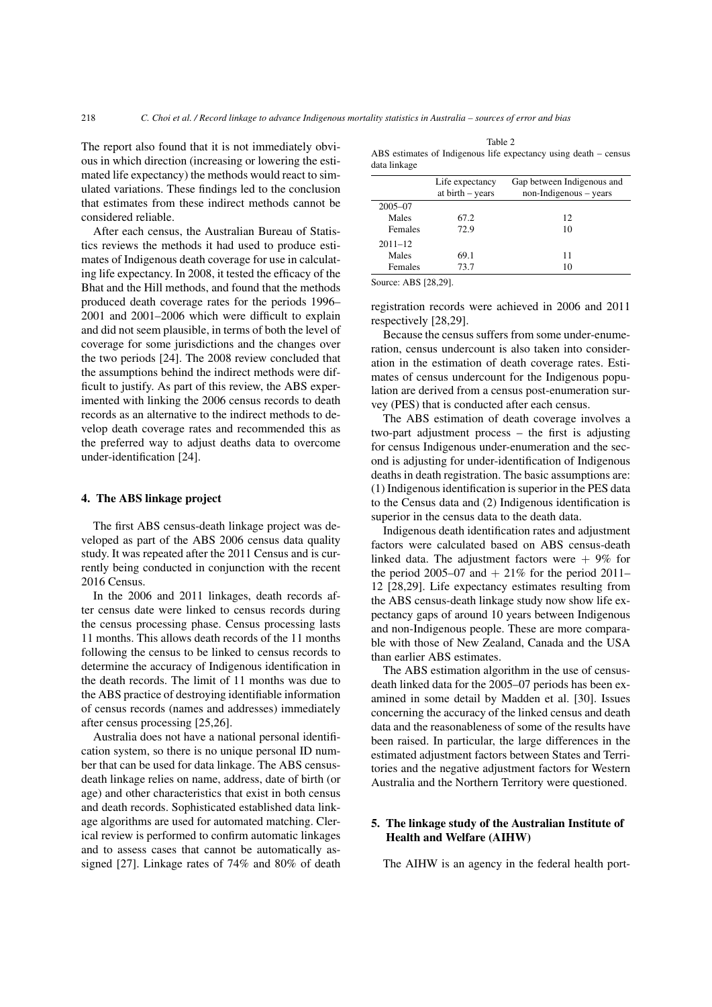The report also found that it is not immediately obvious in which direction (increasing or lowering the estimated life expectancy) the methods would react to simulated variations. These findings led to the conclusion that estimates from these indirect methods cannot be considered reliable.

After each census, the Australian Bureau of Statistics reviews the methods it had used to produce estimates of Indigenous death coverage for use in calculating life expectancy. In 2008, it tested the efficacy of the Bhat and the Hill methods, and found that the methods produced death coverage rates for the periods 1996– 2001 and 2001–2006 which were difficult to explain and did not seem plausible, in terms of both the level of coverage for some jurisdictions and the changes over the two periods [\[24\]](#page-7-23). The 2008 review concluded that the assumptions behind the indirect methods were difficult to justify. As part of this review, the ABS experimented with linking the 2006 census records to death records as an alternative to the indirect methods to develop death coverage rates and recommended this as the preferred way to adjust deaths data to overcome under-identification [\[24\]](#page-7-23).

#### 4. The ABS linkage project

The first ABS census-death linkage project was developed as part of the ABS 2006 census data quality study. It was repeated after the 2011 Census and is currently being conducted in conjunction with the recent 2016 Census.

In the 2006 and 2011 linkages, death records after census date were linked to census records during the census processing phase. Census processing lasts 11 months. This allows death records of the 11 months following the census to be linked to census records to determine the accuracy of Indigenous identification in the death records. The limit of 11 months was due to the ABS practice of destroying identifiable information of census records (names and addresses) immediately after census processing [\[25,](#page-7-24)[26\]](#page-7-25).

Australia does not have a national personal identification system, so there is no unique personal ID number that can be used for data linkage. The ABS censusdeath linkage relies on name, address, date of birth (or age) and other characteristics that exist in both census and death records. Sophisticated established data linkage algorithms are used for automated matching. Clerical review is performed to confirm automatic linkages and to assess cases that cannot be automatically assigned [\[27\]](#page-7-26). Linkage rates of 74% and 80% of death

|              | Table 2                                                          |  |
|--------------|------------------------------------------------------------------|--|
|              | ABS estimates of Indigenous life expectancy using death – census |  |
| data linkage |                                                                  |  |

|             | Life expectancy<br>at birth - years | Gap between Indigenous and<br>non-Indigenous – years |
|-------------|-------------------------------------|------------------------------------------------------|
| $2005 - 07$ |                                     |                                                      |
| Males       | 67.2                                | 12                                                   |
| Females     | 72.9                                | 10                                                   |
| $2011 - 12$ |                                     |                                                      |
| Males       | 69.1                                | 11                                                   |
| Females     | 73.7                                | 10                                                   |

Source: ABS [\[28,](#page-7-27)[29\]](#page-7-28).

registration records were achieved in 2006 and 2011 respectively [\[28](#page-7-27)[,29\]](#page-7-28).

Because the census suffers from some under-enumeration, census undercount is also taken into consideration in the estimation of death coverage rates. Estimates of census undercount for the Indigenous population are derived from a census post-enumeration survey (PES) that is conducted after each census.

The ABS estimation of death coverage involves a two-part adjustment process – the first is adjusting for census Indigenous under-enumeration and the second is adjusting for under-identification of Indigenous deaths in death registration. The basic assumptions are: (1) Indigenous identification is superior in the PES data to the Census data and (2) Indigenous identification is superior in the census data to the death data.

Indigenous death identification rates and adjustment factors were calculated based on ABS census-death linked data. The adjustment factors were  $+9\%$  for the period 2005–07 and  $+ 21\%$  for the period 2011– 12 [\[28](#page-7-27)[,29\]](#page-7-28). Life expectancy estimates resulting from the ABS census-death linkage study now show life expectancy gaps of around 10 years between Indigenous and non-Indigenous people. These are more comparable with those of New Zealand, Canada and the USA than earlier ABS estimates.

The ABS estimation algorithm in the use of censusdeath linked data for the 2005–07 periods has been examined in some detail by Madden et al. [\[30\]](#page-7-29). Issues concerning the accuracy of the linked census and death data and the reasonableness of some of the results have been raised. In particular, the large differences in the estimated adjustment factors between States and Territories and the negative adjustment factors for Western Australia and the Northern Territory were questioned.

## 5. The linkage study of the Australian Institute of Health and Welfare (AIHW)

The AIHW is an agency in the federal health port-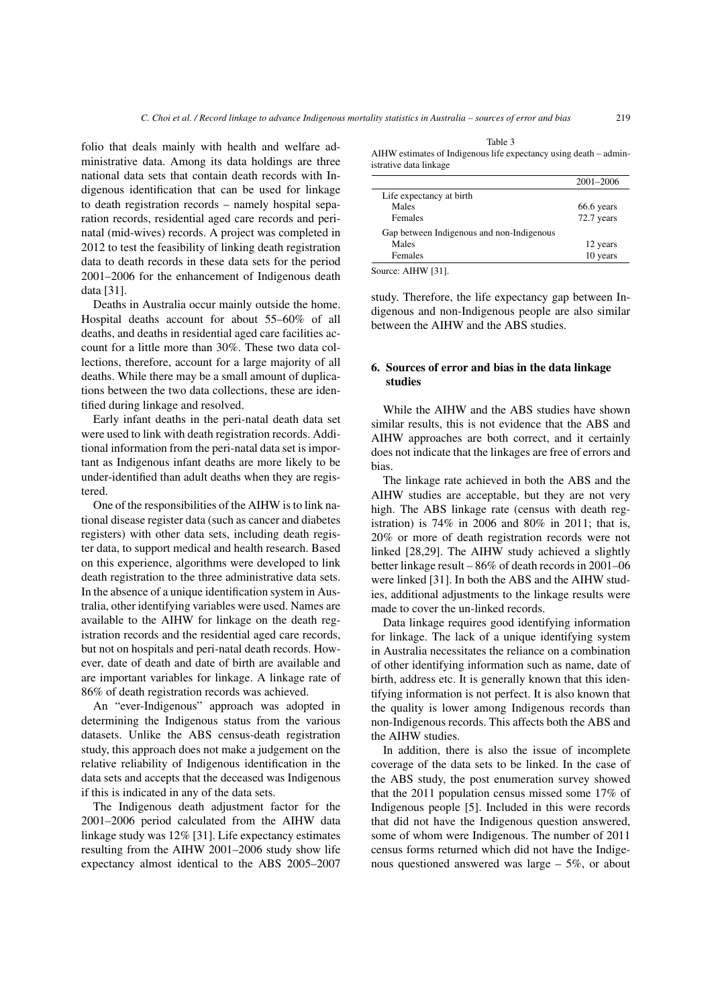folio that deals mainly with health and welfare administrative data. Among its data holdings are three national data sets that contain death records with Indigenous identification that can be used for linkage to death registration records – namely hospital separation records, residential aged care records and perinatal (mid-wives) records. A project was completed in 2012 to test the feasibility of linking death registration data to death records in these data sets for the period 2001–2006 for the enhancement of Indigenous death data [\[31\]](#page-7-30).

Deaths in Australia occur mainly outside the home. Hospital deaths account for about 55–60% of all deaths, and deaths in residential aged care facilities account for a little more than 30%. These two data collections, therefore, account for a large majority of all deaths. While there may be a small amount of duplications between the two data collections, these are identified during linkage and resolved.

Early infant deaths in the peri-natal death data set were used to link with death registration records. Additional information from the peri-natal data set is important as Indigenous infant deaths are more likely to be under-identified than adult deaths when they are registered.

One of the responsibilities of the AIHW is to link national disease register data (such as cancer and diabetes registers) with other data sets, including death register data, to support medical and health research. Based on this experience, algorithms were developed to link death registration to the three administrative data sets. In the absence of a unique identification system in Australia, other identifying variables were used. Names are available to the AIHW for linkage on the death registration records and the residential aged care records, but not on hospitals and peri-natal death records. However, date of death and date of birth are available and are important variables for linkage. A linkage rate of 86% of death registration records was achieved.

An "ever-Indigenous" approach was adopted in determining the Indigenous status from the various datasets. Unlike the ABS census-death registration study, this approach does not make a judgement on the relative reliability of Indigenous identification in the data sets and accepts that the deceased was Indigenous if this is indicated in any of the data sets.

The Indigenous death adjustment factor for the 2001–2006 period calculated from the AIHW data linkage study was 12% [\[31\]](#page-7-30). Life expectancy estimates resulting from the AIHW 2001–2006 study show life expectancy almost identical to the ABS 2005–2007

Table 3 AIHW estimates of Indigenous life expectancy using death – administrative data linkage

|                                           | $2001 - 2006$ |
|-------------------------------------------|---------------|
| Life expectancy at birth                  |               |
| Males                                     | 66.6 years    |
| Females                                   | 72.7 years    |
| Gap between Indigenous and non-Indigenous |               |
| Males                                     | 12 years      |
| Females                                   | 10 years      |
| . <del></del> .                           |               |

Source: AIHW [\[31\]](#page-7-30).

study. Therefore, the life expectancy gap between Indigenous and non-Indigenous people are also similar between the AIHW and the ABS studies.

## 6. Sources of error and bias in the data linkage studies

While the AIHW and the ABS studies have shown similar results, this is not evidence that the ABS and AIHW approaches are both correct, and it certainly does not indicate that the linkages are free of errors and bias.

The linkage rate achieved in both the ABS and the AIHW studies are acceptable, but they are not very high. The ABS linkage rate (census with death registration) is 74% in 2006 and 80% in 2011; that is, 20% or more of death registration records were not linked [\[28](#page-7-27)[,29\]](#page-7-28). The AIHW study achieved a slightly better linkage result – 86% of death records in 2001–06 were linked [\[31\]](#page-7-30). In both the ABS and the AIHW studies, additional adjustments to the linkage results were made to cover the un-linked records.

Data linkage requires good identifying information for linkage. The lack of a unique identifying system in Australia necessitates the reliance on a combination of other identifying information such as name, date of birth, address etc. It is generally known that this identifying information is not perfect. It is also known that the quality is lower among Indigenous records than non-Indigenous records. This affects both the ABS and the AIHW studies.

In addition, there is also the issue of incomplete coverage of the data sets to be linked. In the case of the ABS study, the post enumeration survey showed that the 2011 population census missed some 17% of Indigenous people [\[5\]](#page-7-4). Included in this were records that did not have the Indigenous question answered, some of whom were Indigenous. The number of 2011 census forms returned which did not have the Indigenous questioned answered was large – 5%, or about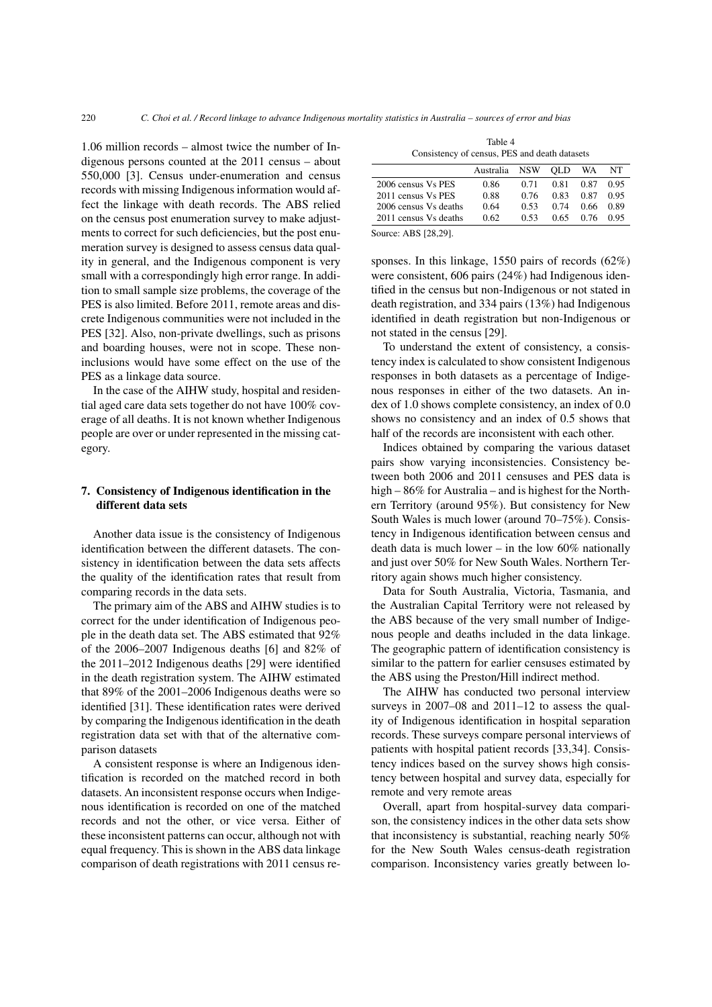1.06 million records – almost twice the number of Indigenous persons counted at the 2011 census – about 550,000 [\[3\]](#page-7-2). Census under-enumeration and census records with missing Indigenous information would affect the linkage with death records. The ABS relied on the census post enumeration survey to make adjustments to correct for such deficiencies, but the post enumeration survey is designed to assess census data quality in general, and the Indigenous component is very small with a correspondingly high error range. In addition to small sample size problems, the coverage of the PES is also limited. Before 2011, remote areas and discrete Indigenous communities were not included in the PES [\[32\]](#page-7-31). Also, non-private dwellings, such as prisons and boarding houses, were not in scope. These noninclusions would have some effect on the use of the PES as a linkage data source.

In the case of the AIHW study, hospital and residential aged care data sets together do not have 100% coverage of all deaths. It is not known whether Indigenous people are over or under represented in the missing category.

## 7. Consistency of Indigenous identification in the different data sets

Another data issue is the consistency of Indigenous identification between the different datasets. The consistency in identification between the data sets affects the quality of the identification rates that result from comparing records in the data sets.

The primary aim of the ABS and AIHW studies is to correct for the under identification of Indigenous people in the death data set. The ABS estimated that 92% of the 2006–2007 Indigenous deaths [\[6\]](#page-7-5) and 82% of the 2011–2012 Indigenous deaths [\[29\]](#page-7-28) were identified in the death registration system. The AIHW estimated that 89% of the 2001–2006 Indigenous deaths were so identified [\[31\]](#page-7-30). These identification rates were derived by comparing the Indigenous identification in the death registration data set with that of the alternative comparison datasets

A consistent response is where an Indigenous identification is recorded on the matched record in both datasets. An inconsistent response occurs when Indigenous identification is recorded on one of the matched records and not the other, or vice versa. Either of these inconsistent patterns can occur, although not with equal frequency. This is shown in the ABS data linkage comparison of death registrations with 2011 census re-

| Table 4                                       |  |  |  |
|-----------------------------------------------|--|--|--|
| Consistency of census, PES and death datasets |  |  |  |

|                       | Australia | <b>NSW</b> | <b>OLD</b> | WA   | NT   |
|-----------------------|-----------|------------|------------|------|------|
| 2006 census Vs PES    | 0.86      | 0.71       | 0.81       | 0.87 | 0.95 |
| 2011 census Vs PES    | 0.88      | 0.76       | 0.83       | 0.87 | 0.95 |
| 2006 census Vs deaths | 0.64      | 0.53       | 0.74       | 0.66 | 0.89 |
| 2011 census Vs deaths | 0.62      | 0.53       | 0.65       | 0.76 | 0.95 |
| Source: ABS [28,29].  |           |            |            |      |      |

sponses. In this linkage, 1550 pairs of records (62%) were consistent, 606 pairs (24%) had Indigenous identified in the census but non-Indigenous or not stated in death registration, and 334 pairs (13%) had Indigenous identified in death registration but non-Indigenous or not stated in the census [\[29\]](#page-7-28).

To understand the extent of consistency, a consistency index is calculated to show consistent Indigenous responses in both datasets as a percentage of Indigenous responses in either of the two datasets. An index of 1.0 shows complete consistency, an index of 0.0 shows no consistency and an index of 0.5 shows that half of the records are inconsistent with each other.

Indices obtained by comparing the various dataset pairs show varying inconsistencies. Consistency between both 2006 and 2011 censuses and PES data is high – 86% for Australia – and is highest for the Northern Territory (around 95%). But consistency for New South Wales is much lower (around 70–75%). Consistency in Indigenous identification between census and death data is much lower – in the low  $60\%$  nationally and just over 50% for New South Wales. Northern Territory again shows much higher consistency.

Data for South Australia, Victoria, Tasmania, and the Australian Capital Territory were not released by the ABS because of the very small number of Indigenous people and deaths included in the data linkage. The geographic pattern of identification consistency is similar to the pattern for earlier censuses estimated by the ABS using the Preston/Hill indirect method.

The AIHW has conducted two personal interview surveys in 2007–08 and 2011–12 to assess the quality of Indigenous identification in hospital separation records. These surveys compare personal interviews of patients with hospital patient records [\[33,](#page-7-32)[34\]](#page-7-33). Consistency indices based on the survey shows high consistency between hospital and survey data, especially for remote and very remote areas

Overall, apart from hospital-survey data comparison, the consistency indices in the other data sets show that inconsistency is substantial, reaching nearly 50% for the New South Wales census-death registration comparison. Inconsistency varies greatly between lo-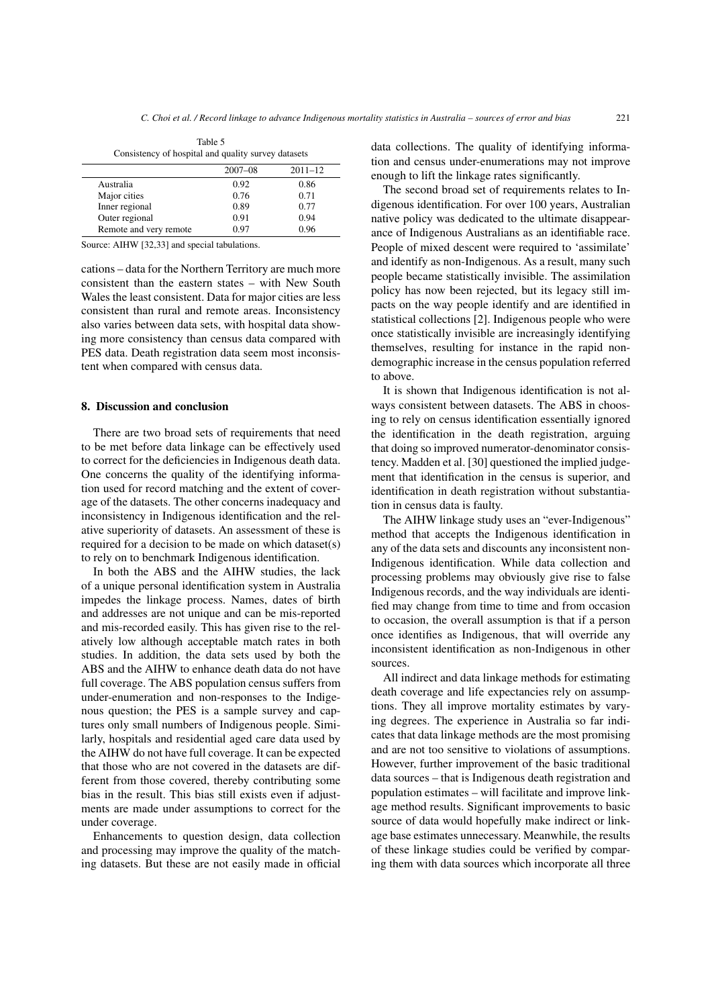| Table 5                                             |  |  |  |
|-----------------------------------------------------|--|--|--|
| Consistency of hospital and quality survey datasets |  |  |  |

|                        | $2007 - 08$ | $2011 - 12$ |
|------------------------|-------------|-------------|
| Australia              | 0.92        | 0.86        |
| Major cities           | 0.76        | 0.71        |
| Inner regional         | 0.89        | 0.77        |
| Outer regional         | 0.91        | 0.94        |
| Remote and very remote | 0.97        | 0.96        |

Source: AIHW [\[32,](#page-7-31)[33\]](#page-7-32) and special tabulations.

cations – data for the Northern Territory are much more consistent than the eastern states – with New South Wales the least consistent. Data for major cities are less consistent than rural and remote areas. Inconsistency also varies between data sets, with hospital data showing more consistency than census data compared with PES data. Death registration data seem most inconsistent when compared with census data.

#### 8. Discussion and conclusion

There are two broad sets of requirements that need to be met before data linkage can be effectively used to correct for the deficiencies in Indigenous death data. One concerns the quality of the identifying information used for record matching and the extent of coverage of the datasets. The other concerns inadequacy and inconsistency in Indigenous identification and the relative superiority of datasets. An assessment of these is required for a decision to be made on which dataset(s) to rely on to benchmark Indigenous identification.

In both the ABS and the AIHW studies, the lack of a unique personal identification system in Australia impedes the linkage process. Names, dates of birth and addresses are not unique and can be mis-reported and mis-recorded easily. This has given rise to the relatively low although acceptable match rates in both studies. In addition, the data sets used by both the ABS and the AIHW to enhance death data do not have full coverage. The ABS population census suffers from under-enumeration and non-responses to the Indigenous question; the PES is a sample survey and captures only small numbers of Indigenous people. Similarly, hospitals and residential aged care data used by the AIHW do not have full coverage. It can be expected that those who are not covered in the datasets are different from those covered, thereby contributing some bias in the result. This bias still exists even if adjustments are made under assumptions to correct for the under coverage.

Enhancements to question design, data collection and processing may improve the quality of the matching datasets. But these are not easily made in official data collections. The quality of identifying information and census under-enumerations may not improve enough to lift the linkage rates significantly.

The second broad set of requirements relates to Indigenous identification. For over 100 years, Australian native policy was dedicated to the ultimate disappearance of Indigenous Australians as an identifiable race. People of mixed descent were required to 'assimilate' and identify as non-Indigenous. As a result, many such people became statistically invisible. The assimilation policy has now been rejected, but its legacy still impacts on the way people identify and are identified in statistical collections [\[2\]](#page-7-1). Indigenous people who were once statistically invisible are increasingly identifying themselves, resulting for instance in the rapid nondemographic increase in the census population referred to above.

It is shown that Indigenous identification is not always consistent between datasets. The ABS in choosing to rely on census identification essentially ignored the identification in the death registration, arguing that doing so improved numerator-denominator consistency. Madden et al. [\[30\]](#page-7-29) questioned the implied judgement that identification in the census is superior, and identification in death registration without substantiation in census data is faulty.

The AIHW linkage study uses an "ever-Indigenous" method that accepts the Indigenous identification in any of the data sets and discounts any inconsistent non-Indigenous identification. While data collection and processing problems may obviously give rise to false Indigenous records, and the way individuals are identified may change from time to time and from occasion to occasion, the overall assumption is that if a person once identifies as Indigenous, that will override any inconsistent identification as non-Indigenous in other sources.

All indirect and data linkage methods for estimating death coverage and life expectancies rely on assumptions. They all improve mortality estimates by varying degrees. The experience in Australia so far indicates that data linkage methods are the most promising and are not too sensitive to violations of assumptions. However, further improvement of the basic traditional data sources – that is Indigenous death registration and population estimates – will facilitate and improve linkage method results. Significant improvements to basic source of data would hopefully make indirect or linkage base estimates unnecessary. Meanwhile, the results of these linkage studies could be verified by comparing them with data sources which incorporate all three